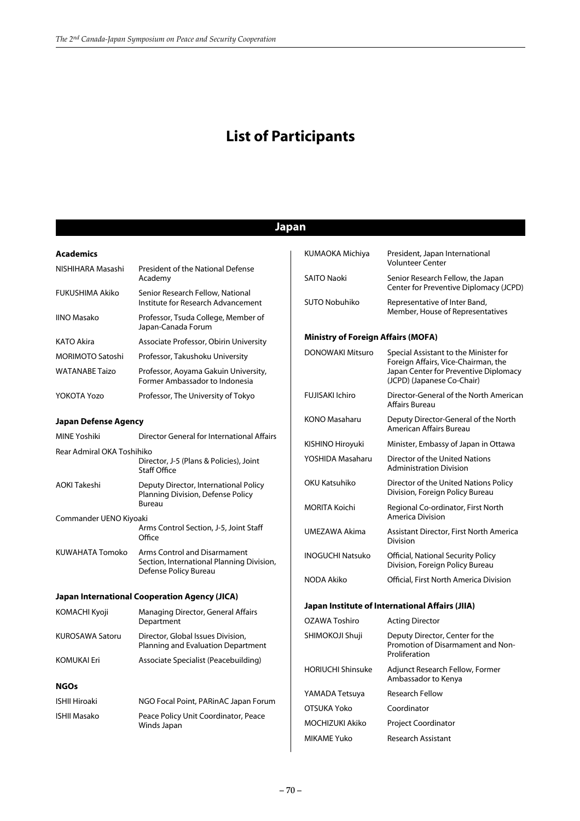# **List of Participants**

## **Japan**

### **Academics**

| NISHIHARA Masashi       | President of the National Defense<br>Academy                           |
|-------------------------|------------------------------------------------------------------------|
| <b>FUKUSHIMA Akiko</b>  | Senior Research Fellow, National<br>Institute for Research Advancement |
| <b>IINO Masako</b>      | Professor, Tsuda College, Member of<br>Japan-Canada Forum              |
| <b>KATO Akira</b>       | Associate Professor, Obirin University                                 |
| <b>MORIMOTO Satoshi</b> | Professor, Takushoku University                                        |
| <b>WATANABE Taizo</b>   | Professor, Aoyama Gakuin University,<br>Former Ambassador to Indonesia |
| YOKOTA Yozo             | Professor, The University of Tokyo                                     |

#### **Japan Defense Agency**

| <b>MINE Yoshiki</b>                           | Director General for International Affairs                                                         |  |
|-----------------------------------------------|----------------------------------------------------------------------------------------------------|--|
| Rear Admiral OKA Toshihiko                    | Director, J-5 (Plans & Policies), Joint<br><b>Staff Office</b>                                     |  |
| <b>AOKI Takeshi</b>                           | Deputy Director, International Policy<br>Planning Division, Defense Policy<br><b>Bureau</b>        |  |
| Commander UENO Kiyoaki                        | Arms Control Section, J-5, Joint Staff<br>Office                                                   |  |
| KUWAHATA Tomoko                               | Arms Control and Disarmament<br>Section, International Planning Division,<br>Defense Policy Bureau |  |
| Japan International Cooperation Agency (JICA) |                                                                                                    |  |
|                                               |                                                                                                    |  |
| <b>KOMACHI Kyoji</b>                          | Managing Director, General Affairs<br>Department                                                   |  |
| <b>KUROSAWA Satoru</b>                        | Director, Global Issues Division,<br>Planning and Evaluation Department                            |  |
| <b>KOMUKAI Eri</b>                            | Associate Specialist (Peacebuilding)                                                               |  |
| <b>NGOs</b>                                   |                                                                                                    |  |
| <b>ISHII Hiroaki</b>                          | NGO Focal Point, PARinAC Japan Forum                                                               |  |

| KUMAOKA Michiya                           | President, Japan International<br><b>Volunteer Center</b>                                                                                           |  |
|-------------------------------------------|-----------------------------------------------------------------------------------------------------------------------------------------------------|--|
| <b>SAITO Naoki</b>                        | Senior Research Fellow, the Japan<br>Center for Preventive Diplomacy (JCPD)                                                                         |  |
| <b>SUTO Nobuhiko</b>                      | Representative of Inter Band,<br>Member, House of Representatives                                                                                   |  |
| <b>Ministry of Foreign Affairs (MOFA)</b> |                                                                                                                                                     |  |
| <b>DONOWAKI Mitsuro</b>                   | Special Assistant to the Minister for<br>Foreign Affairs, Vice-Chairman, the<br>Japan Center for Preventive Diplomacy<br>(JCPD) (Japanese Co-Chair) |  |
| <b>FUJISAKI Ichiro</b>                    | Director-General of the North American<br>Affairs Bureau                                                                                            |  |
| KONO Masaharu                             | Deputy Director-General of the North<br>American Affairs Bureau                                                                                     |  |
| KISHINO Hiroyuki                          | Minister, Embassy of Japan in Ottawa                                                                                                                |  |
| YOSHIDA Masaharu                          | Director of the United Nations<br><b>Administration Division</b>                                                                                    |  |
| OKU Katsuhiko                             | Director of the United Nations Policy<br>Division, Foreign Policy Bureau                                                                            |  |
| MORITA Koichi                             | Regional Co-ordinator, First North<br>America Division                                                                                              |  |
| UMEZAWA Akima                             | Assistant Director, First North America<br>Division                                                                                                 |  |
| <b>INOGUCHI Natsuko</b>                   | Official, National Security Policy<br>Division, Foreign Policy Bureau                                                                               |  |
| NODA Akiko                                | Official, First North America Division                                                                                                              |  |
|                                           | Japan Institute of International Affairs (JIIA)                                                                                                     |  |
| <b>OZAWA Toshiro</b>                      | <b>Acting Director</b>                                                                                                                              |  |
| SHIMOKOJI Shuji                           | Deputy Director, Center for the<br>Promotion of Disarmament and Non-<br>Proliferation                                                               |  |
| <b>HORIUCHI Shinsuke</b>                  | Adjunct Research Fellow, Former<br>Ambassador to Kenya                                                                                              |  |
| YAMADA Tetsuya                            | <b>Research Fellow</b>                                                                                                                              |  |
| OTSUKA Yoko                               | Coordinator                                                                                                                                         |  |
| MOCHIZUKI Akiko                           | <b>Project Coordinator</b>                                                                                                                          |  |
| <b>MIKAME Yuko</b>                        | <b>Research Assistant</b>                                                                                                                           |  |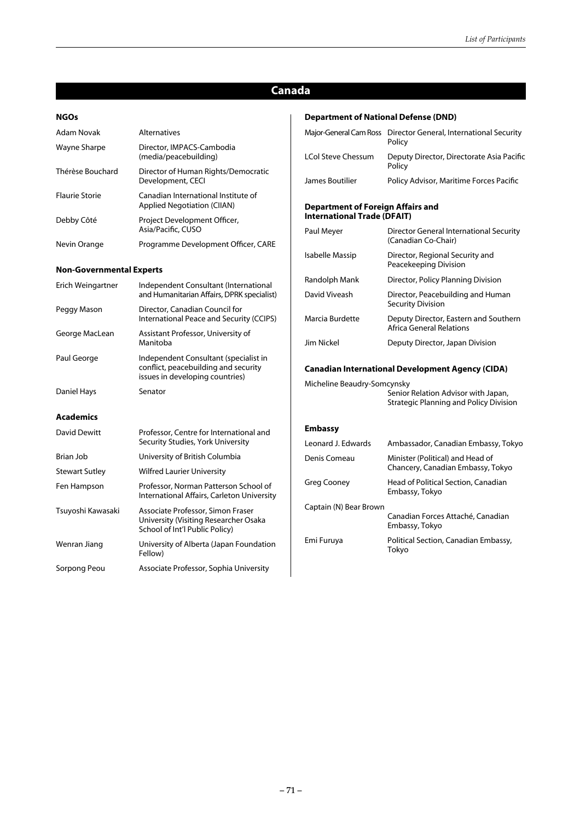## **Canada**

#### **NGOs**

| Adam Novak                      | <b>Alternatives</b>                                                |
|---------------------------------|--------------------------------------------------------------------|
| Wayne Sharpe                    | Director, IMPACS-Cambodia<br>(media/peacebuilding)                 |
| Thérèse Bouchard                | Director of Human Rights/Democratic<br>Development, CECI           |
| <b>Flaurie Storie</b>           | Canadian International Institute of<br>Applied Negotiation (CIIAN) |
| Debby Côté                      | Project Development Officer,<br>Asia/Pacific, CUSO                 |
| Nevin Orange                    | Programme Development Officer, CARE                                |
| <b>Non-Governmental Experts</b> |                                                                    |
|                                 |                                                                    |

| Erich Weingartner     | Independent Consultant (International<br>and Humanitarian Affairs, DPRK specialist)                              |
|-----------------------|------------------------------------------------------------------------------------------------------------------|
| Peggy Mason           | Director, Canadian Council for<br>International Peace and Security (CCIPS)                                       |
| George MacLean        | Assistant Professor, University of<br>Manitoba                                                                   |
| Paul George           | Independent Consultant (specialist in<br>conflict, peacebuilding and security<br>issues in developing countries) |
| Daniel Hays           | Senator                                                                                                          |
| <b>Academics</b>      |                                                                                                                  |
| David Dewitt          | Professor, Centre for International and<br>Security Studies, York University                                     |
| Brian Job             | University of British Columbia                                                                                   |
| <b>Stewart Sutley</b> | <b>Wilfred Laurier University</b>                                                                                |
| Fen Hampson           | Professor, Norman Patterson School of<br>International Affairs, Carleton University                              |
| Tsuyoshi Kawasaki     | Associate Professor, Simon Fraser<br>University (Visiting Researcher Osaka<br>School of Int'l Public Policy)     |
| Wenran Jiang          | University of Alberta (Japan Foundation<br>Fellow)                                                               |
| Sorpong Peou          | Associate Professor, Sophia University                                                                           |

### **Department of National Defense (DND)**

| Major-General Cam Ross                                                         | Director General, International Security<br>Policy                                   |  |
|--------------------------------------------------------------------------------|--------------------------------------------------------------------------------------|--|
| <b>LCol Steve Chessum</b>                                                      | Deputy Director, Directorate Asia Pacific<br>Policy                                  |  |
| James Boutilier                                                                | Policy Advisor, Maritime Forces Pacific                                              |  |
| <b>Department of Foreign Affairs and</b><br><b>International Trade (DFAIT)</b> |                                                                                      |  |
| Paul Meyer                                                                     | Director General International Security<br>(Canadian Co-Chair)                       |  |
| Isabelle Massip                                                                | Director, Regional Security and<br>Peacekeeping Division                             |  |
| Randolph Mank                                                                  | Director, Policy Planning Division                                                   |  |
| David Viveash                                                                  | Director, Peacebuilding and Human<br><b>Security Division</b>                        |  |
| Marcia Burdette                                                                | Deputy Director, Eastern and Southern<br><b>Africa General Relations</b>             |  |
| Jim Nickel                                                                     | Deputy Director, Japan Division                                                      |  |
|                                                                                | <b>Canadian International Development Agency (CIDA)</b>                              |  |
| Micheline Beaudry-Somcynsky                                                    | Senior Relation Advisor with Japan,<br><b>Strategic Planning and Policy Division</b> |  |
| <b>Embassy</b>                                                                 |                                                                                      |  |
| Leonard J. Edwards                                                             | Ambassador, Canadian Embassy, Tokyo                                                  |  |
| Denis Comeau                                                                   | Minister (Political) and Head of<br>Chancery, Canadian Embassy, Tokyo                |  |
| <b>Greg Cooney</b>                                                             | Head of Political Section, Canadian<br>Embassy, Tokyo                                |  |
| Captain (N) Bear Brown                                                         | Canadian Forces Attaché, Canadian                                                    |  |

Embassy, Tokyo Emi Furuya Political Section, Canadian Embassy, Tokyo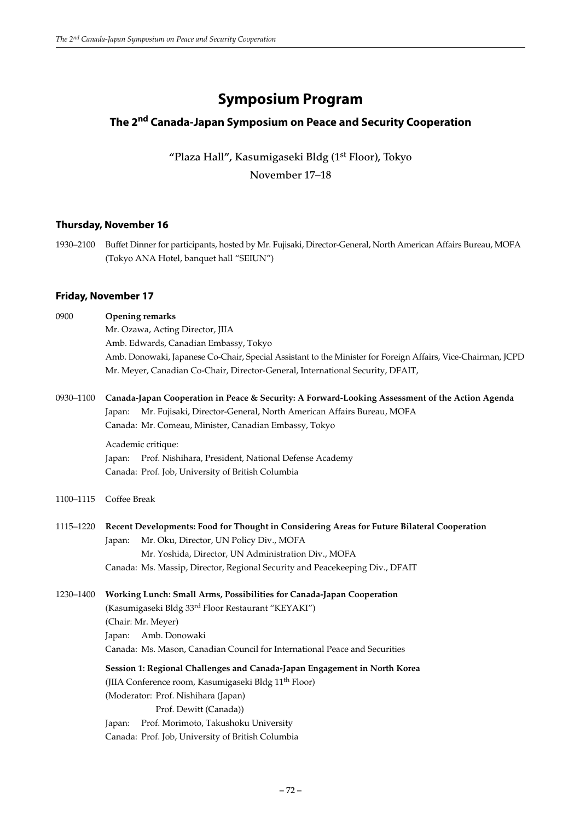# **Symposium Program**

# **The 2nd Canada-Japan Symposium on Peace and Security Cooperation**

**"Plaza Hall", Kasumigaseki Bldg (1st Floor), Tokyo November 17–18**

### **Thursday, November 16**

1930–2100 Buffet Dinner for participants, hosted by Mr. Fujisaki, Director-General, North American Affairs Bureau, MOFA (Tokyo ANA Hotel, banquet hall "SEIUN")

### **Friday, November 17**

| 0900      | <b>Opening remarks</b><br>Mr. Ozawa, Acting Director, JIIA<br>Amb. Edwards, Canadian Embassy, Tokyo<br>Amb. Donowaki, Japanese Co-Chair, Special Assistant to the Minister for Foreign Affairs, Vice-Chairman, JCPD<br>Mr. Meyer, Canadian Co-Chair, Director-General, International Security, DFAIT,                                                                                  |
|-----------|----------------------------------------------------------------------------------------------------------------------------------------------------------------------------------------------------------------------------------------------------------------------------------------------------------------------------------------------------------------------------------------|
| 0930-1100 | Canada-Japan Cooperation in Peace & Security: A Forward-Looking Assessment of the Action Agenda<br>Mr. Fujisaki, Director-General, North American Affairs Bureau, MOFA<br>Japan:<br>Canada: Mr. Comeau, Minister, Canadian Embassy, Tokyo<br>Academic critique:<br>Prof. Nishihara, President, National Defense Academy<br>Japan:<br>Canada: Prof. Job, University of British Columbia |
| 1100-1115 | Coffee Break                                                                                                                                                                                                                                                                                                                                                                           |
| 1115-1220 | Recent Developments: Food for Thought in Considering Areas for Future Bilateral Cooperation<br>Mr. Oku, Director, UN Policy Div., MOFA<br>Japan:<br>Mr. Yoshida, Director, UN Administration Div., MOFA<br>Canada: Ms. Massip, Director, Regional Security and Peacekeeping Div., DFAIT                                                                                                |
| 1230-1400 | Working Lunch: Small Arms, Possibilities for Canada-Japan Cooperation<br>(Kasumigaseki Bldg 33rd Floor Restaurant "KEYAKI")<br>(Chair: Mr. Meyer)<br>Amb. Donowaki<br>Japan:<br>Canada: Ms. Mason, Canadian Council for International Peace and Securities                                                                                                                             |
|           | Session 1: Regional Challenges and Canada-Japan Engagement in North Korea<br>(JIIA Conference room, Kasumigaseki Bldg 11 <sup>th</sup> Floor)<br>(Moderator: Prof. Nishihara (Japan)<br>Prof. Dewitt (Canada))<br>Prof. Morimoto, Takushoku University<br>Japan:<br>Canada: Prof. Job, University of British Columbia                                                                  |